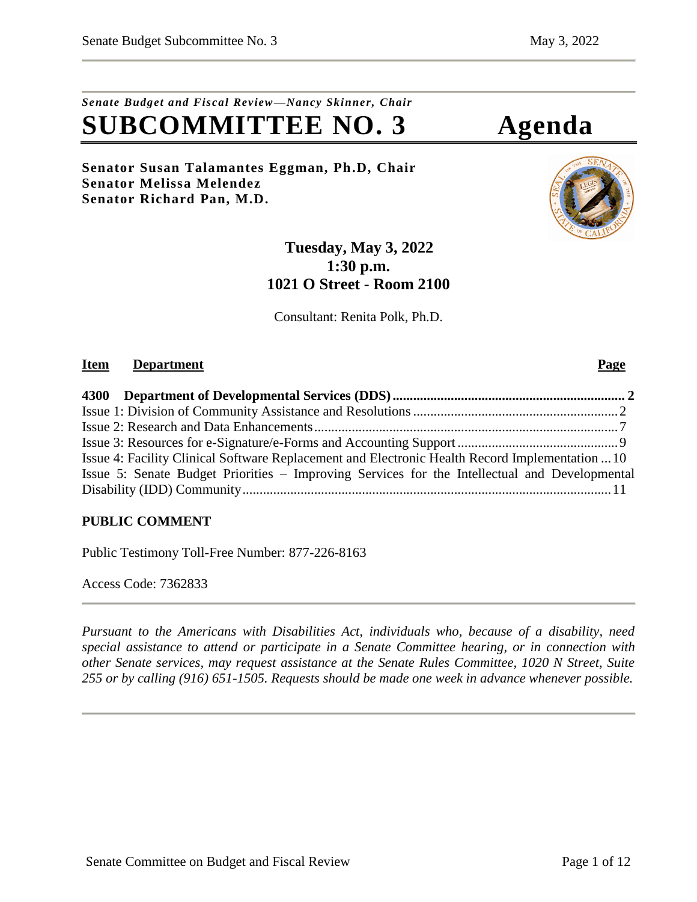# *Senate Budget and Fiscal Review—Nancy Skinner, Chair* **SUBCOMMITTEE NO. 3 Agenda**

**Senator Susan Talamantes Eggman, Ph.D, Chair Senator Melissa Melendez Senator Richard Pan, M.D.**

> **Tuesday, May 3, 2022 1:30 p.m. 1021 O Street - Room 2100**

Consultant: Renita Polk, Ph.D.

## **Item Department Page**

| Issue 4: Facility Clinical Software Replacement and Electronic Health Record Implementation  10 |  |
|-------------------------------------------------------------------------------------------------|--|
| Issue 5: Senate Budget Priorities – Improving Services for the Intellectual and Developmental   |  |
|                                                                                                 |  |
|                                                                                                 |  |

# **PUBLIC COMMENT**

Public Testimony Toll-Free Number: 877-226-8163

Access Code: 7362833

*Pursuant to the Americans with Disabilities Act, individuals who, because of a disability, need special assistance to attend or participate in a Senate Committee hearing, or in connection with other Senate services, may request assistance at the Senate Rules Committee, 1020 N Street, Suite 255 or by calling (916) 651-1505. Requests should be made one week in advance whenever possible.*

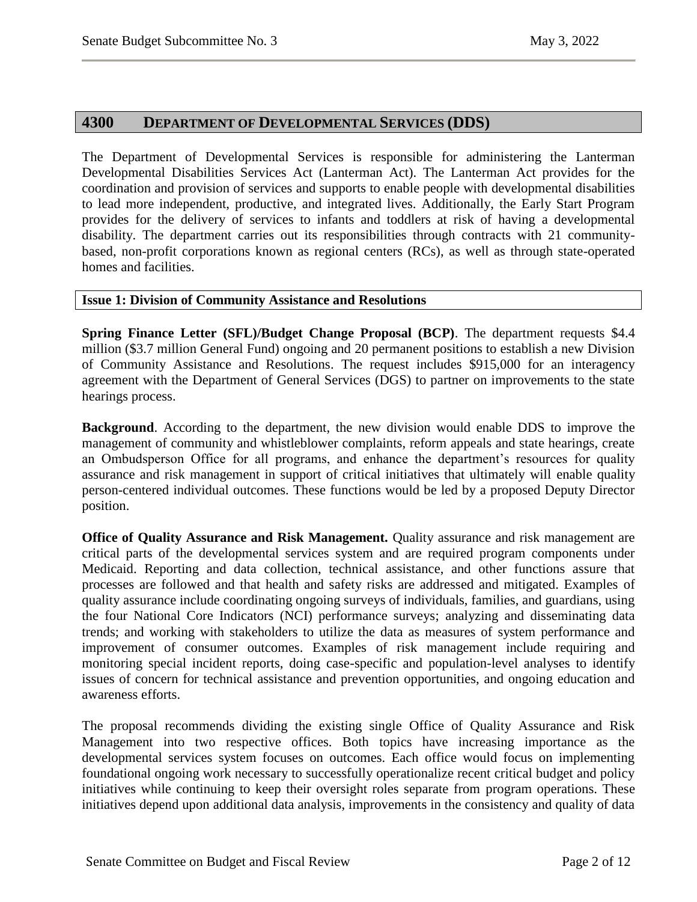#### <span id="page-1-0"></span>**4300 DEPARTMENT OF DEVELOPMENTAL SERVICES (DDS)**

The Department of Developmental Services is responsible for administering the Lanterman Developmental Disabilities Services Act (Lanterman Act). The Lanterman Act provides for the coordination and provision of services and supports to enable people with developmental disabilities to lead more independent, productive, and integrated lives. Additionally, the Early Start Program provides for the delivery of services to infants and toddlers at risk of having a developmental disability. The department carries out its responsibilities through contracts with 21 communitybased, non-profit corporations known as regional centers (RCs), as well as through state-operated homes and facilities.

#### <span id="page-1-1"></span>**Issue 1: Division of Community Assistance and Resolutions**

**Spring Finance Letter (SFL)/Budget Change Proposal (BCP)**. The department requests \$4.4 million (\$3.7 million General Fund) ongoing and 20 permanent positions to establish a new Division of Community Assistance and Resolutions. The request includes \$915,000 for an interagency agreement with the Department of General Services (DGS) to partner on improvements to the state hearings process.

**Background**. According to the department, the new division would enable DDS to improve the management of community and whistleblower complaints, reform appeals and state hearings, create an Ombudsperson Office for all programs, and enhance the department's resources for quality assurance and risk management in support of critical initiatives that ultimately will enable quality person-centered individual outcomes. These functions would be led by a proposed Deputy Director position.

**Office of Quality Assurance and Risk Management.** Quality assurance and risk management are critical parts of the developmental services system and are required program components under Medicaid. Reporting and data collection, technical assistance, and other functions assure that processes are followed and that health and safety risks are addressed and mitigated. Examples of quality assurance include coordinating ongoing surveys of individuals, families, and guardians, using the four National Core Indicators (NCI) performance surveys; analyzing and disseminating data trends; and working with stakeholders to utilize the data as measures of system performance and improvement of consumer outcomes. Examples of risk management include requiring and monitoring special incident reports, doing case-specific and population-level analyses to identify issues of concern for technical assistance and prevention opportunities, and ongoing education and awareness efforts.

The proposal recommends dividing the existing single Office of Quality Assurance and Risk Management into two respective offices. Both topics have increasing importance as the developmental services system focuses on outcomes. Each office would focus on implementing foundational ongoing work necessary to successfully operationalize recent critical budget and policy initiatives while continuing to keep their oversight roles separate from program operations. These initiatives depend upon additional data analysis, improvements in the consistency and quality of data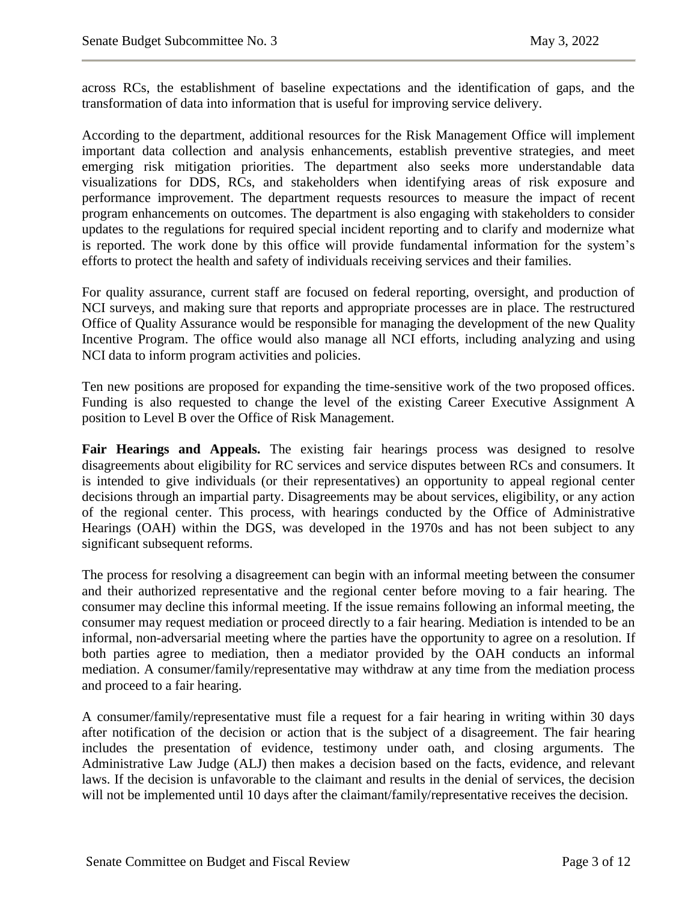across RCs, the establishment of baseline expectations and the identification of gaps, and the transformation of data into information that is useful for improving service delivery.

According to the department, additional resources for the Risk Management Office will implement important data collection and analysis enhancements, establish preventive strategies, and meet emerging risk mitigation priorities. The department also seeks more understandable data visualizations for DDS, RCs, and stakeholders when identifying areas of risk exposure and performance improvement. The department requests resources to measure the impact of recent program enhancements on outcomes. The department is also engaging with stakeholders to consider updates to the regulations for required special incident reporting and to clarify and modernize what is reported. The work done by this office will provide fundamental information for the system's efforts to protect the health and safety of individuals receiving services and their families.

For quality assurance, current staff are focused on federal reporting, oversight, and production of NCI surveys, and making sure that reports and appropriate processes are in place. The restructured Office of Quality Assurance would be responsible for managing the development of the new Quality Incentive Program. The office would also manage all NCI efforts, including analyzing and using NCI data to inform program activities and policies.

Ten new positions are proposed for expanding the time-sensitive work of the two proposed offices. Funding is also requested to change the level of the existing Career Executive Assignment A position to Level B over the Office of Risk Management.

**Fair Hearings and Appeals.** The existing fair hearings process was designed to resolve disagreements about eligibility for RC services and service disputes between RCs and consumers. It is intended to give individuals (or their representatives) an opportunity to appeal regional center decisions through an impartial party. Disagreements may be about services, eligibility, or any action of the regional center. This process, with hearings conducted by the Office of Administrative Hearings (OAH) within the DGS, was developed in the 1970s and has not been subject to any significant subsequent reforms.

The process for resolving a disagreement can begin with an informal meeting between the consumer and their authorized representative and the regional center before moving to a fair hearing. The consumer may decline this informal meeting. If the issue remains following an informal meeting, the consumer may request mediation or proceed directly to a fair hearing. Mediation is intended to be an informal, non-adversarial meeting where the parties have the opportunity to agree on a resolution. If both parties agree to mediation, then a mediator provided by the OAH conducts an informal mediation. A consumer/family/representative may withdraw at any time from the mediation process and proceed to a fair hearing.

A consumer/family/representative must file a request for a fair hearing in writing within 30 days after notification of the decision or action that is the subject of a disagreement. The fair hearing includes the presentation of evidence, testimony under oath, and closing arguments. The Administrative Law Judge (ALJ) then makes a decision based on the facts, evidence, and relevant laws. If the decision is unfavorable to the claimant and results in the denial of services, the decision will not be implemented until 10 days after the claimant/family/representative receives the decision.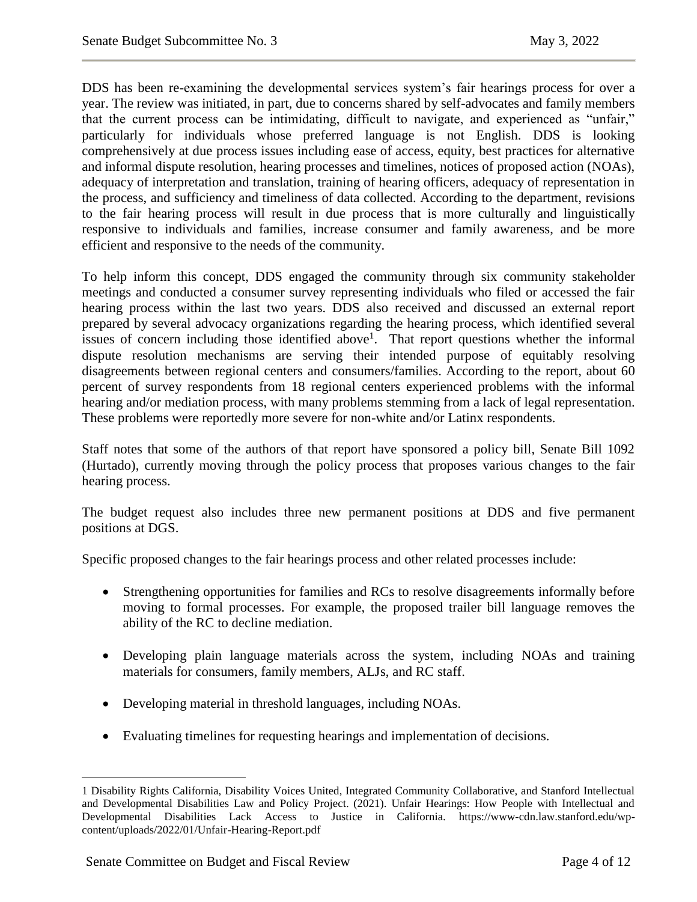DDS has been re-examining the developmental services system's fair hearings process for over a year. The review was initiated, in part, due to concerns shared by self-advocates and family members that the current process can be intimidating, difficult to navigate, and experienced as "unfair," particularly for individuals whose preferred language is not English. DDS is looking comprehensively at due process issues including ease of access, equity, best practices for alternative and informal dispute resolution, hearing processes and timelines, notices of proposed action (NOAs), adequacy of interpretation and translation, training of hearing officers, adequacy of representation in the process, and sufficiency and timeliness of data collected. According to the department, revisions to the fair hearing process will result in due process that is more culturally and linguistically responsive to individuals and families, increase consumer and family awareness, and be more efficient and responsive to the needs of the community.

To help inform this concept, DDS engaged the community through six community stakeholder meetings and conducted a consumer survey representing individuals who filed or accessed the fair hearing process within the last two years. DDS also received and discussed an external report prepared by several advocacy organizations regarding the hearing process, which identified several issues of concern including those identified above<sup>1</sup>. That report questions whether the informal dispute resolution mechanisms are serving their intended purpose of equitably resolving disagreements between regional centers and consumers/families. According to the report, about 60 percent of survey respondents from 18 regional centers experienced problems with the informal hearing and/or mediation process, with many problems stemming from a lack of legal representation. These problems were reportedly more severe for non-white and/or Latinx respondents.

Staff notes that some of the authors of that report have sponsored a policy bill, Senate Bill 1092 (Hurtado), currently moving through the policy process that proposes various changes to the fair hearing process.

The budget request also includes three new permanent positions at DDS and five permanent positions at DGS.

Specific proposed changes to the fair hearings process and other related processes include:

- Strengthening opportunities for families and RCs to resolve disagreements informally before moving to formal processes. For example, the proposed trailer bill language removes the ability of the RC to decline mediation.
- Developing plain language materials across the system, including NOAs and training materials for consumers, family members, ALJs, and RC staff.
- Developing material in threshold languages, including NOAs.
- Evaluating timelines for requesting hearings and implementation of decisions.

 $\overline{a}$ 

<sup>1</sup> Disability Rights California, Disability Voices United, Integrated Community Collaborative, and Stanford Intellectual and Developmental Disabilities Law and Policy Project. (2021). Unfair Hearings: How People with Intellectual and Developmental Disabilities Lack Access to Justice in California. https://www-cdn.law.stanford.edu/wpcontent/uploads/2022/01/Unfair-Hearing-Report.pdf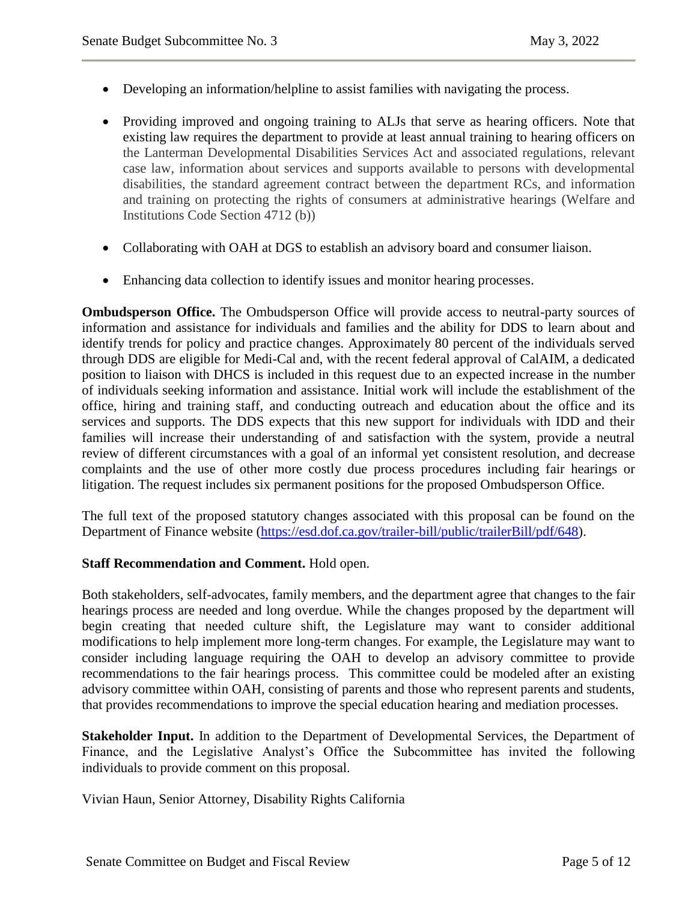- Developing an information/helpline to assist families with navigating the process.
- Providing improved and ongoing training to ALJs that serve as hearing officers. Note that existing law requires the department to provide at least annual training to hearing officers on the Lanterman Developmental Disabilities Services Act and associated regulations, relevant case law, information about services and supports available to persons with developmental disabilities, the standard agreement contract between the department RCs, and information and training on protecting the rights of consumers at administrative hearings (Welfare and Institutions Code Section 4712 (b))
- Collaborating with OAH at DGS to establish an advisory board and consumer liaison.
- Enhancing data collection to identify issues and monitor hearing processes.

**Ombudsperson Office.** The Ombudsperson Office will provide access to neutral-party sources of information and assistance for individuals and families and the ability for DDS to learn about and identify trends for policy and practice changes. Approximately 80 percent of the individuals served through DDS are eligible for Medi-Cal and, with the recent federal approval of CalAIM, a dedicated position to liaison with DHCS is included in this request due to an expected increase in the number of individuals seeking information and assistance. Initial work will include the establishment of the office, hiring and training staff, and conducting outreach and education about the office and its services and supports. The DDS expects that this new support for individuals with IDD and their families will increase their understanding of and satisfaction with the system, provide a neutral review of different circumstances with a goal of an informal yet consistent resolution, and decrease complaints and the use of other more costly due process procedures including fair hearings or litigation. The request includes six permanent positions for the proposed Ombudsperson Office.

The full text of the proposed statutory changes associated with this proposal can be found on the Department of Finance website [\(https://esd.dof.ca.gov/trailer-bill/public/trailerBill/pdf/648\)](https://esd.dof.ca.gov/trailer-bill/public/trailerBill/pdf/648).

#### **Staff Recommendation and Comment.** Hold open.

Both stakeholders, self-advocates, family members, and the department agree that changes to the fair hearings process are needed and long overdue. While the changes proposed by the department will begin creating that needed culture shift, the Legislature may want to consider additional modifications to help implement more long-term changes. For example, the Legislature may want to consider including language requiring the OAH to develop an advisory committee to provide recommendations to the fair hearings process. This committee could be modeled after an existing advisory committee within OAH, consisting of parents and those who represent parents and students, that provides recommendations to improve the special education hearing and mediation processes.

**Stakeholder Input.** In addition to the Department of Developmental Services, the Department of Finance, and the Legislative Analyst's Office the Subcommittee has invited the following individuals to provide comment on this proposal.

Vivian Haun, Senior Attorney, Disability Rights California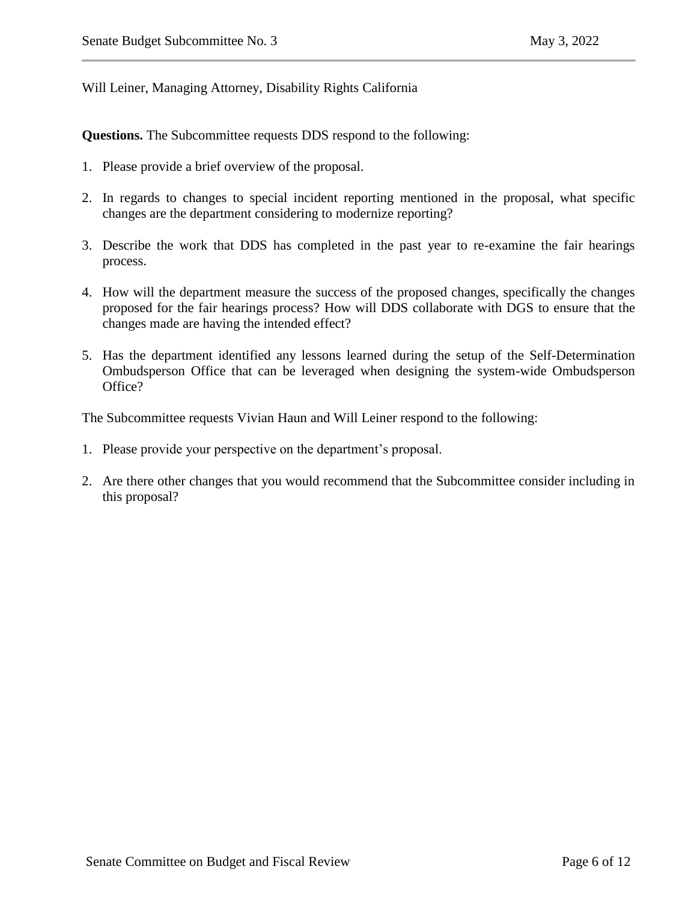#### Will Leiner, Managing Attorney, Disability Rights California

**Questions.** The Subcommittee requests DDS respond to the following:

- 1. Please provide a brief overview of the proposal.
- 2. In regards to changes to special incident reporting mentioned in the proposal, what specific changes are the department considering to modernize reporting?
- 3. Describe the work that DDS has completed in the past year to re-examine the fair hearings process.
- 4. How will the department measure the success of the proposed changes, specifically the changes proposed for the fair hearings process? How will DDS collaborate with DGS to ensure that the changes made are having the intended effect?
- 5. Has the department identified any lessons learned during the setup of the Self-Determination Ombudsperson Office that can be leveraged when designing the system-wide Ombudsperson Office?

The Subcommittee requests Vivian Haun and Will Leiner respond to the following:

- 1. Please provide your perspective on the department's proposal.
- 2. Are there other changes that you would recommend that the Subcommittee consider including in this proposal?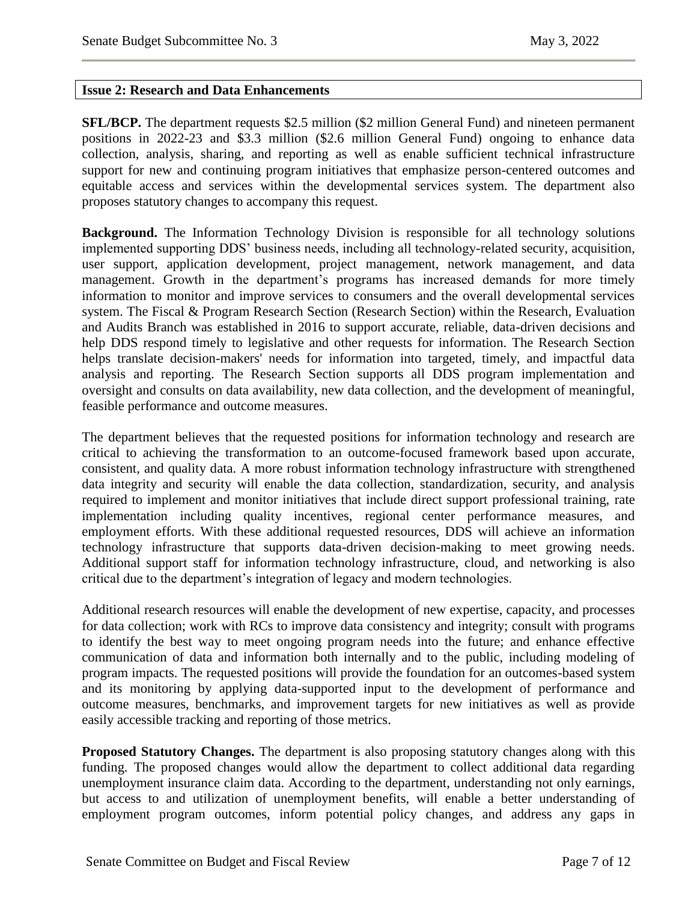#### <span id="page-6-0"></span>**Issue 2: Research and Data Enhancements**

**SFL/BCP.** The department requests \$2.5 million (\$2 million General Fund) and nineteen permanent positions in 2022-23 and \$3.3 million (\$2.6 million General Fund) ongoing to enhance data collection, analysis, sharing, and reporting as well as enable sufficient technical infrastructure support for new and continuing program initiatives that emphasize person-centered outcomes and equitable access and services within the developmental services system. The department also proposes statutory changes to accompany this request.

**Background.** The Information Technology Division is responsible for all technology solutions implemented supporting DDS' business needs, including all technology-related security, acquisition, user support, application development, project management, network management, and data management. Growth in the department's programs has increased demands for more timely information to monitor and improve services to consumers and the overall developmental services system. The Fiscal & Program Research Section (Research Section) within the Research, Evaluation and Audits Branch was established in 2016 to support accurate, reliable, data-driven decisions and help DDS respond timely to legislative and other requests for information. The Research Section helps translate decision-makers' needs for information into targeted, timely, and impactful data analysis and reporting. The Research Section supports all DDS program implementation and oversight and consults on data availability, new data collection, and the development of meaningful, feasible performance and outcome measures.

The department believes that the requested positions for information technology and research are critical to achieving the transformation to an outcome-focused framework based upon accurate, consistent, and quality data. A more robust information technology infrastructure with strengthened data integrity and security will enable the data collection, standardization, security, and analysis required to implement and monitor initiatives that include direct support professional training, rate implementation including quality incentives, regional center performance measures, and employment efforts. With these additional requested resources, DDS will achieve an information technology infrastructure that supports data-driven decision-making to meet growing needs. Additional support staff for information technology infrastructure, cloud, and networking is also critical due to the department's integration of legacy and modern technologies.

Additional research resources will enable the development of new expertise, capacity, and processes for data collection; work with RCs to improve data consistency and integrity; consult with programs to identify the best way to meet ongoing program needs into the future; and enhance effective communication of data and information both internally and to the public, including modeling of program impacts. The requested positions will provide the foundation for an outcomes-based system and its monitoring by applying data-supported input to the development of performance and outcome measures, benchmarks, and improvement targets for new initiatives as well as provide easily accessible tracking and reporting of those metrics.

**Proposed Statutory Changes.** The department is also proposing statutory changes along with this funding. The proposed changes would allow the department to collect additional data regarding unemployment insurance claim data. According to the department, understanding not only earnings, but access to and utilization of unemployment benefits, will enable a better understanding of employment program outcomes, inform potential policy changes, and address any gaps in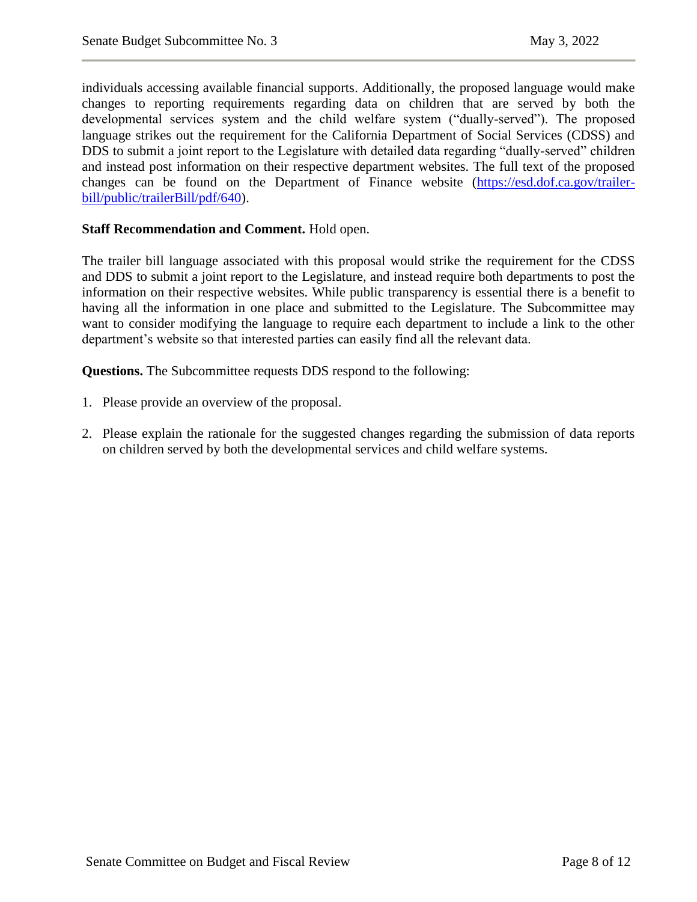individuals accessing available financial supports. Additionally, the proposed language would make changes to reporting requirements regarding data on children that are served by both the developmental services system and the child welfare system ("dually-served"). The proposed language strikes out the requirement for the California Department of Social Services (CDSS) and DDS to submit a joint report to the Legislature with detailed data regarding "dually-served" children and instead post information on their respective department websites. The full text of the proposed changes can be found on the Department of Finance website [\(https://esd.dof.ca.gov/trailer](https://esd.dof.ca.gov/trailer-bill/public/trailerBill/pdf/640)[bill/public/trailerBill/pdf/640\)](https://esd.dof.ca.gov/trailer-bill/public/trailerBill/pdf/640).

#### **Staff Recommendation and Comment.** Hold open.

The trailer bill language associated with this proposal would strike the requirement for the CDSS and DDS to submit a joint report to the Legislature, and instead require both departments to post the information on their respective websites. While public transparency is essential there is a benefit to having all the information in one place and submitted to the Legislature. The Subcommittee may want to consider modifying the language to require each department to include a link to the other department's website so that interested parties can easily find all the relevant data.

**Questions.** The Subcommittee requests DDS respond to the following:

- 1. Please provide an overview of the proposal.
- 2. Please explain the rationale for the suggested changes regarding the submission of data reports on children served by both the developmental services and child welfare systems.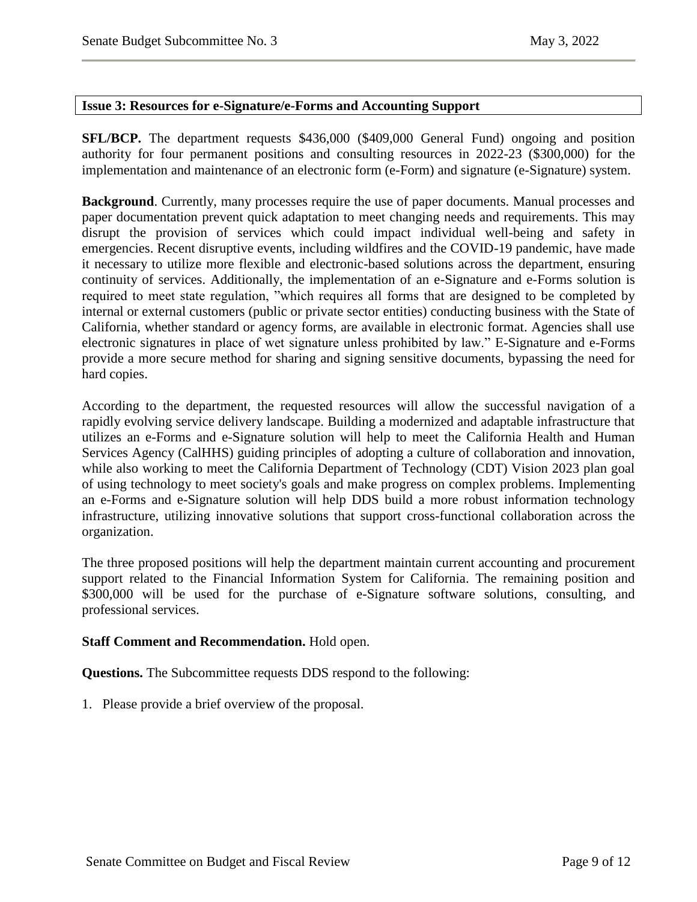#### <span id="page-8-0"></span>**Issue 3: Resources for e-Signature/e-Forms and Accounting Support**

**SFL/BCP.** The department requests \$436,000 (\$409,000 General Fund) ongoing and position authority for four permanent positions and consulting resources in 2022-23 (\$300,000) for the implementation and maintenance of an electronic form (e-Form) and signature (e-Signature) system.

**Background**. Currently, many processes require the use of paper documents. Manual processes and paper documentation prevent quick adaptation to meet changing needs and requirements. This may disrupt the provision of services which could impact individual well-being and safety in emergencies. Recent disruptive events, including wildfires and the COVID-19 pandemic, have made it necessary to utilize more flexible and electronic-based solutions across the department, ensuring continuity of services. Additionally, the implementation of an e-Signature and e-Forms solution is required to meet state regulation, "which requires all forms that are designed to be completed by internal or external customers (public or private sector entities) conducting business with the State of California, whether standard or agency forms, are available in electronic format. Agencies shall use electronic signatures in place of wet signature unless prohibited by law." E-Signature and e-Forms provide a more secure method for sharing and signing sensitive documents, bypassing the need for hard copies.

According to the department, the requested resources will allow the successful navigation of a rapidly evolving service delivery landscape. Building a modernized and adaptable infrastructure that utilizes an e-Forms and e-Signature solution will help to meet the California Health and Human Services Agency (CalHHS) guiding principles of adopting a culture of collaboration and innovation, while also working to meet the California Department of Technology (CDT) Vision 2023 plan goal of using technology to meet society's goals and make progress on complex problems. Implementing an e-Forms and e-Signature solution will help DDS build a more robust information technology infrastructure, utilizing innovative solutions that support cross-functional collaboration across the organization.

The three proposed positions will help the department maintain current accounting and procurement support related to the Financial Information System for California. The remaining position and \$300,000 will be used for the purchase of e-Signature software solutions, consulting, and professional services.

#### **Staff Comment and Recommendation.** Hold open.

**Questions.** The Subcommittee requests DDS respond to the following:

1. Please provide a brief overview of the proposal.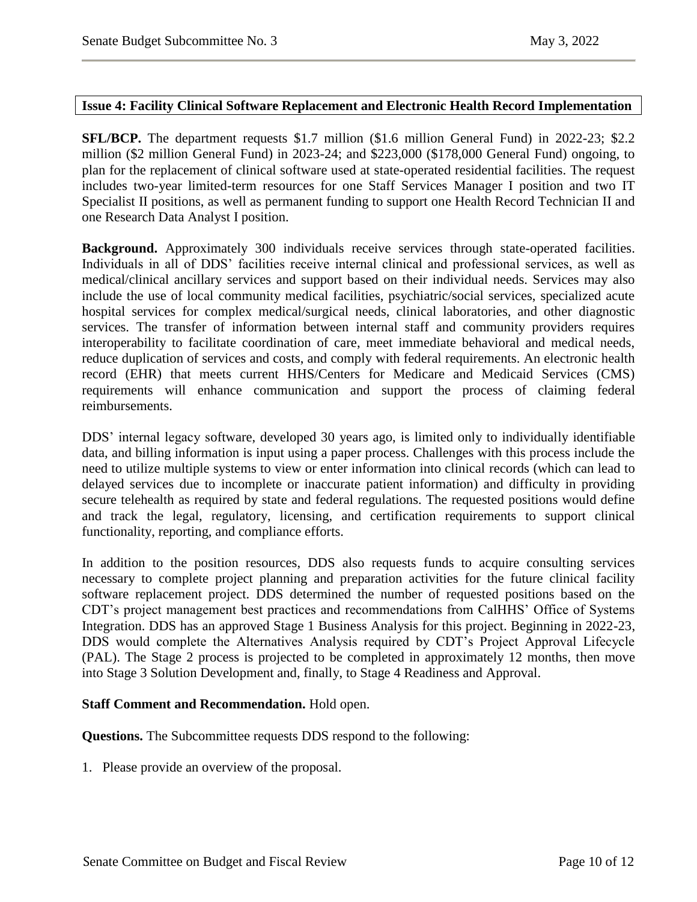#### <span id="page-9-0"></span>**Issue 4: Facility Clinical Software Replacement and Electronic Health Record Implementation**

**SFL/BCP.** The department requests \$1.7 million (\$1.6 million General Fund) in 2022-23; \$2.2 million (\$2 million General Fund) in 2023-24; and \$223,000 (\$178,000 General Fund) ongoing, to plan for the replacement of clinical software used at state-operated residential facilities. The request includes two-year limited-term resources for one Staff Services Manager I position and two IT Specialist II positions, as well as permanent funding to support one Health Record Technician II and one Research Data Analyst I position.

**Background.** Approximately 300 individuals receive services through state-operated facilities. Individuals in all of DDS' facilities receive internal clinical and professional services, as well as medical/clinical ancillary services and support based on their individual needs. Services may also include the use of local community medical facilities, psychiatric/social services, specialized acute hospital services for complex medical/surgical needs, clinical laboratories, and other diagnostic services. The transfer of information between internal staff and community providers requires interoperability to facilitate coordination of care, meet immediate behavioral and medical needs, reduce duplication of services and costs, and comply with federal requirements. An electronic health record (EHR) that meets current HHS/Centers for Medicare and Medicaid Services (CMS) requirements will enhance communication and support the process of claiming federal reimbursements.

DDS' internal legacy software, developed 30 years ago, is limited only to individually identifiable data, and billing information is input using a paper process. Challenges with this process include the need to utilize multiple systems to view or enter information into clinical records (which can lead to delayed services due to incomplete or inaccurate patient information) and difficulty in providing secure telehealth as required by state and federal regulations. The requested positions would define and track the legal, regulatory, licensing, and certification requirements to support clinical functionality, reporting, and compliance efforts.

In addition to the position resources, DDS also requests funds to acquire consulting services necessary to complete project planning and preparation activities for the future clinical facility software replacement project. DDS determined the number of requested positions based on the CDT's project management best practices and recommendations from CalHHS' Office of Systems Integration. DDS has an approved Stage 1 Business Analysis for this project. Beginning in 2022-23, DDS would complete the Alternatives Analysis required by CDT's Project Approval Lifecycle (PAL). The Stage 2 process is projected to be completed in approximately 12 months, then move into Stage 3 Solution Development and, finally, to Stage 4 Readiness and Approval.

#### **Staff Comment and Recommendation.** Hold open.

**Questions.** The Subcommittee requests DDS respond to the following:

1. Please provide an overview of the proposal.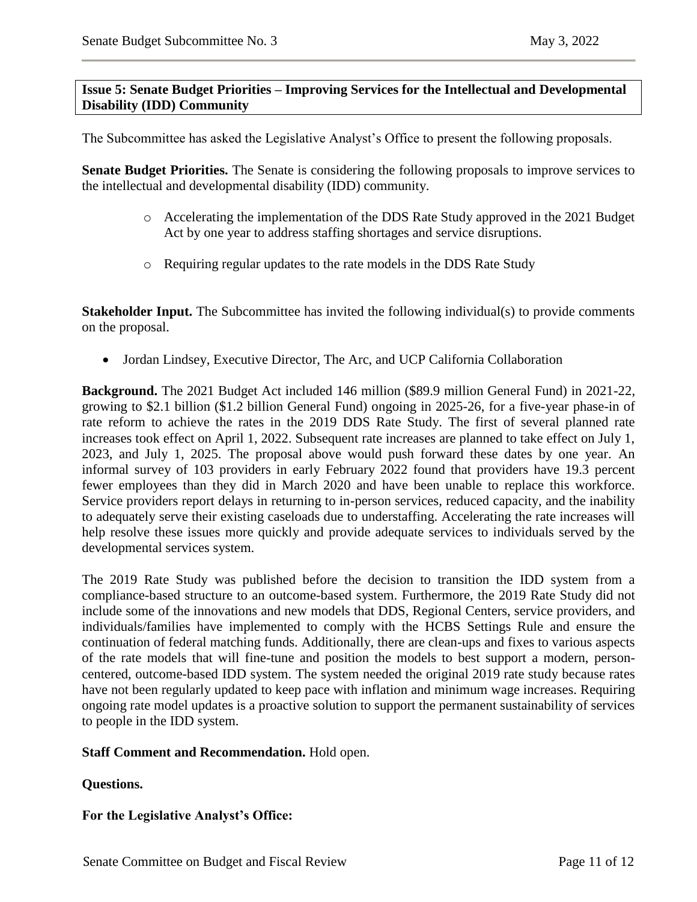#### <span id="page-10-0"></span>**Issue 5: Senate Budget Priorities – Improving Services for the Intellectual and Developmental Disability (IDD) Community**

The Subcommittee has asked the Legislative Analyst's Office to present the following proposals.

**Senate Budget Priorities.** The Senate is considering the following proposals to improve services to the intellectual and developmental disability (IDD) community.

- o Accelerating the implementation of the DDS Rate Study approved in the 2021 Budget Act by one year to address staffing shortages and service disruptions.
- o Requiring regular updates to the rate models in the DDS Rate Study

**Stakeholder Input.** The Subcommittee has invited the following individual(s) to provide comments on the proposal.

Jordan Lindsey, Executive Director, The Arc, and UCP California Collaboration

**Background.** The 2021 Budget Act included 146 million (\$89.9 million General Fund) in 2021-22, growing to \$2.1 billion (\$1.2 billion General Fund) ongoing in 2025-26, for a five-year phase-in of rate reform to achieve the rates in the 2019 DDS Rate Study. The first of several planned rate increases took effect on April 1, 2022. Subsequent rate increases are planned to take effect on July 1, 2023, and July 1, 2025. The proposal above would push forward these dates by one year. An informal survey of 103 providers in early February 2022 found that providers have 19.3 percent fewer employees than they did in March 2020 and have been unable to replace this workforce. Service providers report delays in returning to in-person services, reduced capacity, and the inability to adequately serve their existing caseloads due to understaffing. Accelerating the rate increases will help resolve these issues more quickly and provide adequate services to individuals served by the developmental services system.

The 2019 Rate Study was published before the decision to transition the IDD system from a compliance-based structure to an outcome-based system. Furthermore, the 2019 Rate Study did not include some of the innovations and new models that DDS, Regional Centers, service providers, and individuals/families have implemented to comply with the HCBS Settings Rule and ensure the continuation of federal matching funds. Additionally, there are clean-ups and fixes to various aspects of the rate models that will fine-tune and position the models to best support a modern, personcentered, outcome-based IDD system. The system needed the original 2019 rate study because rates have not been regularly updated to keep pace with inflation and minimum wage increases. Requiring ongoing rate model updates is a proactive solution to support the permanent sustainability of services to people in the IDD system.

#### **Staff Comment and Recommendation.** Hold open.

#### **Questions.**

### **For the Legislative Analyst's Office:**